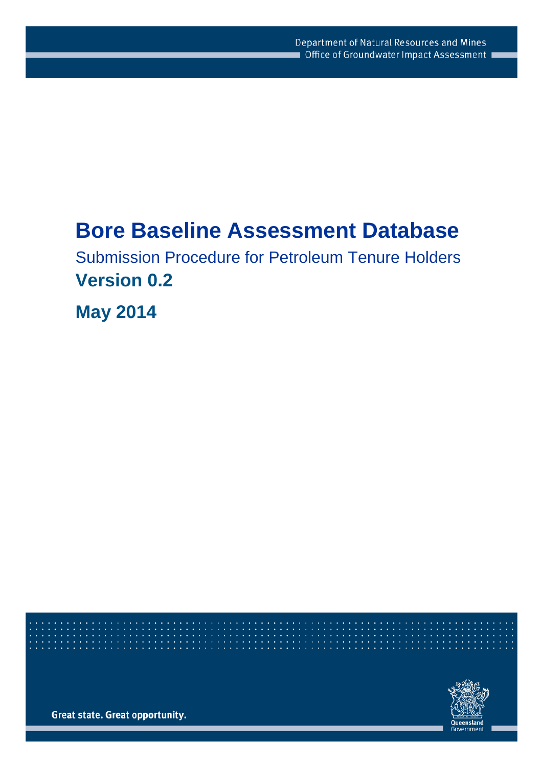# **Bore Baseline Assessment Database**

Submission Procedure for Petroleum Tenure Holders **Version 0.2**

**May 2014**

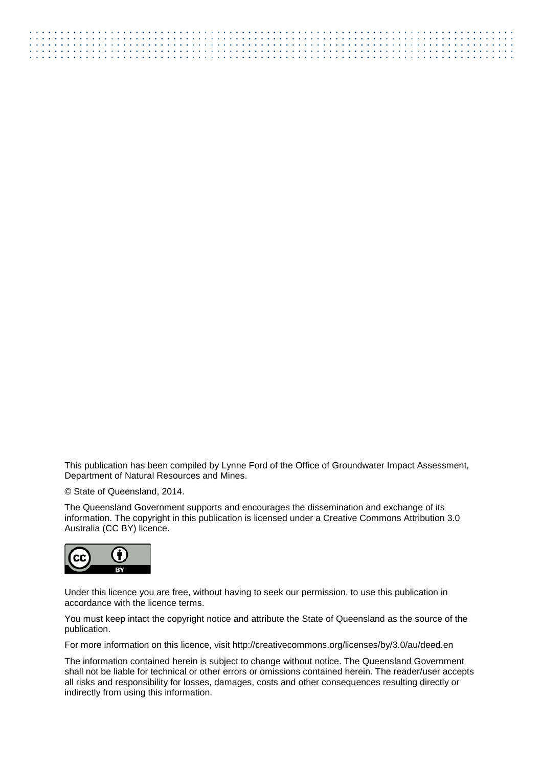This publication has been compiled by Lynne Ford of the Office of Groundwater Impact Assessment, Department of Natural Resources and Mines.

© State of Queensland, 2014.

The Queensland Government supports and encourages the dissemination and exchange of its information. The copyright in this publication is licensed under a Creative Commons Attribution 3.0 Australia (CC BY) licence.



Under this licence you are free, without having to seek our permission, to use this publication in accordance with the licence terms.

You must keep intact the copyright notice and attribute the State of Queensland as the source of the publication.

For more information on this licence, visit http://creativecommons.org/licenses/by/3.0/au/deed.en

The information contained herein is subject to change without notice. The Queensland Government shall not be liable for technical or other errors or omissions contained herein. The reader/user accepts all risks and responsibility for losses, damages, costs and other consequences resulting directly or indirectly from using this information.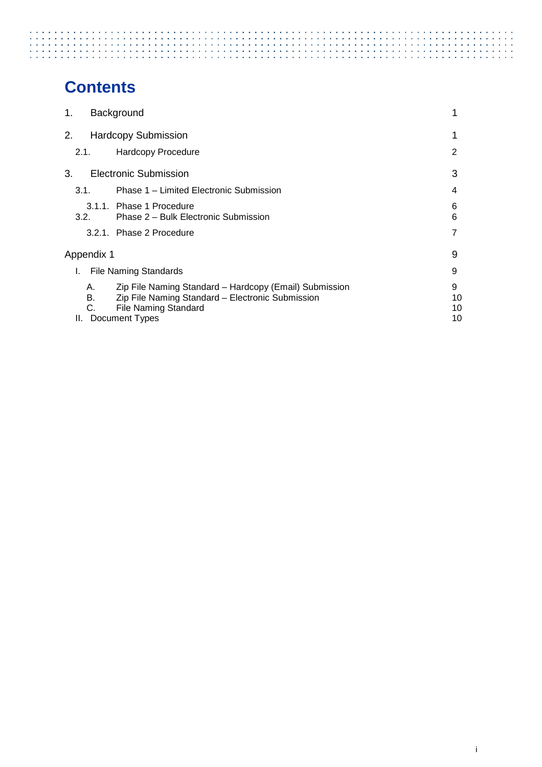# 

# **Contents**

| 1. |                | Background                                                                                                                                                  |                     |
|----|----------------|-------------------------------------------------------------------------------------------------------------------------------------------------------------|---------------------|
| 2. |                | <b>Hardcopy Submission</b>                                                                                                                                  |                     |
|    | 2.1.           | Hardcopy Procedure                                                                                                                                          | 2                   |
| 3. |                | <b>Electronic Submission</b>                                                                                                                                | 3                   |
|    | 3.1.           | Phase 1 – Limited Electronic Submission                                                                                                                     | 4                   |
|    | 3.2.           | 3.1.1. Phase 1 Procedure<br>Phase 2 – Bulk Electronic Submission                                                                                            | 6<br>6              |
|    |                | 3.2.1. Phase 2 Procedure                                                                                                                                    |                     |
|    | Appendix 1     |                                                                                                                                                             | 9                   |
| L. |                | <b>File Naming Standards</b>                                                                                                                                | 9                   |
| Ш. | А.<br>В.<br>C. | Zip File Naming Standard - Hardcopy (Email) Submission<br>Zip File Naming Standard - Electronic Submission<br><b>File Naming Standard</b><br>Document Types | 9<br>10<br>10<br>10 |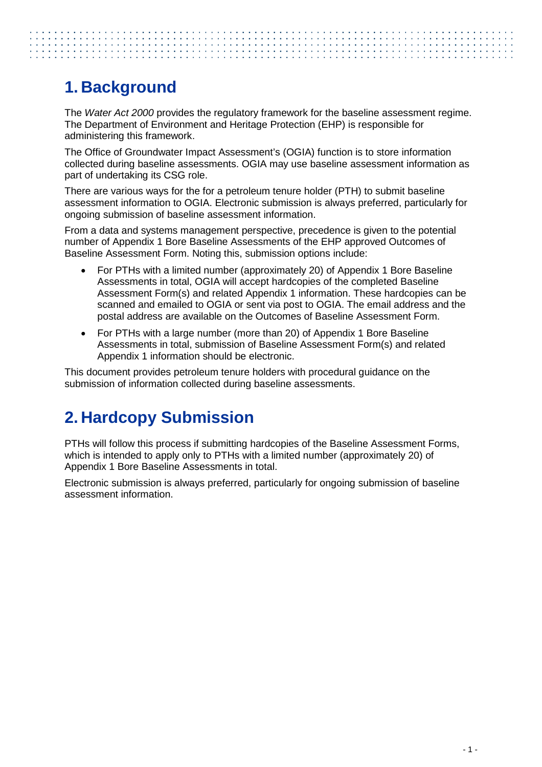# <span id="page-3-0"></span>**1. Background**

The *Water Act 2000* provides the regulatory framework for the baseline assessment regime. The Department of Environment and Heritage Protection (EHP) is responsible for administering this framework.

The Office of Groundwater Impact Assessment's (OGIA) function is to store information collected during baseline assessments. OGIA may use baseline assessment information as part of undertaking its CSG role.

There are various ways for the for a petroleum tenure holder (PTH) to submit baseline assessment information to OGIA. Electronic submission is always preferred, particularly for ongoing submission of baseline assessment information.

From a data and systems management perspective, precedence is given to the potential number of Appendix 1 Bore Baseline Assessments of the EHP approved Outcomes of Baseline Assessment Form. Noting this, submission options include:

- For PTHs with a limited number (approximately 20) of Appendix 1 Bore Baseline Assessments in total, OGIA will accept hardcopies of the completed Baseline Assessment Form(s) and related Appendix 1 information. These hardcopies can be scanned and emailed to OGIA or sent via post to OGIA. The email address and the postal address are available on the Outcomes of Baseline Assessment Form.
- For PTHs with a large number (more than 20) of Appendix 1 Bore Baseline Assessments in total, submission of Baseline Assessment Form(s) and related Appendix 1 information should be electronic.

This document provides petroleum tenure holders with procedural guidance on the submission of information collected during baseline assessments.

# <span id="page-3-1"></span>**2. Hardcopy Submission**

PTHs will follow this process if submitting hardcopies of the Baseline Assessment Forms, which is intended to apply only to PTHs with a limited number (approximately 20) of Appendix 1 Bore Baseline Assessments in total.

Electronic submission is always preferred, particularly for ongoing submission of baseline assessment information.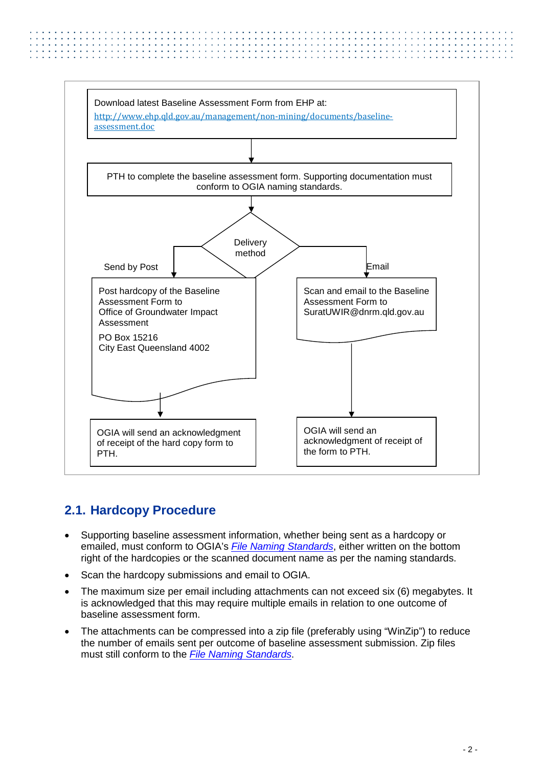

### <span id="page-4-0"></span>**2.1. Hardcopy Procedure**

- Supporting baseline assessment information, whether being sent as a hardcopy or emailed, must conform to OGIA's *File Naming Standards*, either written on the bottom right of the hardcopies or the scanned document name as per the naming standards.
- Scan the hardcopy submissions and email to OGIA.
- The maximum size per email including attachments can not exceed six (6) megabytes. It is acknowledged that this may require multiple emails in relation to one outcome of baseline assessment form.
- The attachments can be compressed into a zip file (preferably using "WinZip") to reduce the number of emails sent per outcome of baseline assessment submission. Zip files must still conform to the *File Naming Standards*.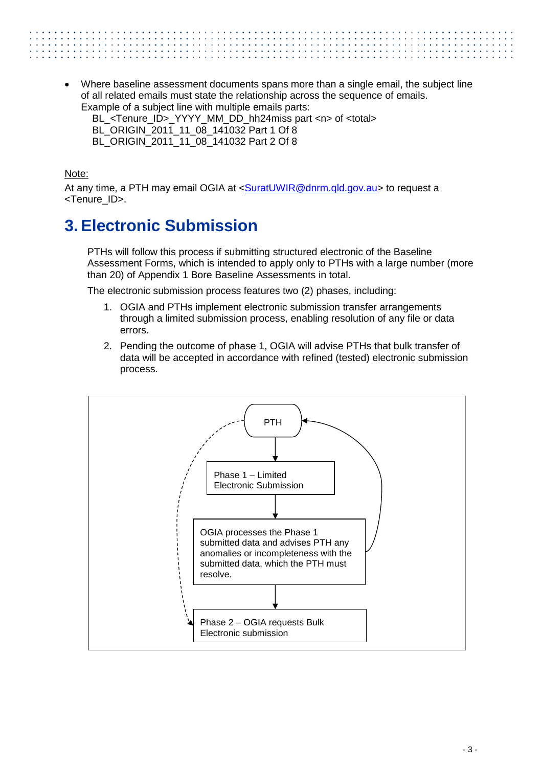• Where baseline assessment documents spans more than a single email, the subject line of all related emails must state the relationship across the sequence of emails. Example of a subject line with multiple emails parts:

BL\_<Tenure\_ID>\_YYYY\_MM\_DD\_hh24miss part <n> of <total>

- BL\_ORIGIN\_2011\_11\_08\_141032 Part 1 Of 8
- BL\_ORIGIN\_2011\_11\_08\_141032 Part 2 Of 8

Note:

At any time, a PTH may email OGIA at [<SuratUWIR@dnrm.qld.gov.au>](mailto:SuratUWIR@dnrm.qld.gov.au) to request a <Tenure\_ID>.

## <span id="page-5-0"></span>**3. Electronic Submission**

PTHs will follow this process if submitting structured electronic of the Baseline Assessment Forms, which is intended to apply only to PTHs with a large number (more than 20) of Appendix 1 Bore Baseline Assessments in total.

The electronic submission process features two (2) phases, including:

- 1. OGIA and PTHs implement electronic submission transfer arrangements through a limited submission process, enabling resolution of any file or data errors.
- 2. Pending the outcome of phase 1, OGIA will advise PTHs that bulk transfer of data will be accepted in accordance with refined (tested) electronic submission process.

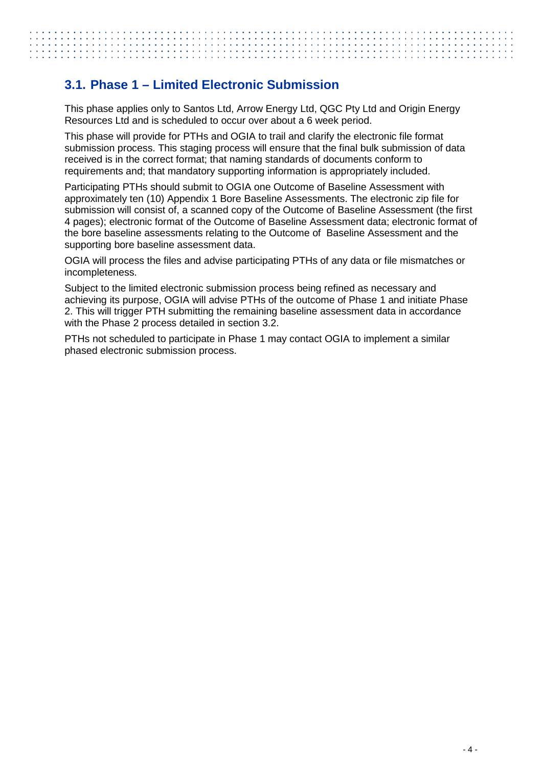#### <span id="page-6-0"></span>**3.1. Phase 1 – Limited Electronic Submission**

This phase applies only to Santos Ltd, Arrow Energy Ltd, QGC Pty Ltd and Origin Energy Resources Ltd and is scheduled to occur over about a 6 week period.

This phase will provide for PTHs and OGIA to trail and clarify the electronic file format submission process. This staging process will ensure that the final bulk submission of data received is in the correct format; that naming standards of documents conform to requirements and; that mandatory supporting information is appropriately included.

Participating PTHs should submit to OGIA one Outcome of Baseline Assessment with approximately ten (10) Appendix 1 Bore Baseline Assessments. The electronic zip file for submission will consist of, a scanned copy of the Outcome of Baseline Assessment (the first 4 pages); electronic format of the Outcome of Baseline Assessment data; electronic format of the bore baseline assessments relating to the Outcome of Baseline Assessment and the supporting bore baseline assessment data.

OGIA will process the files and advise participating PTHs of any data or file mismatches or incompleteness.

Subject to the limited electronic submission process being refined as necessary and achieving its purpose, OGIA will advise PTHs of the outcome of Phase 1 and initiate Phase 2. This will trigger PTH submitting the remaining baseline assessment data in accordance with the Phase 2 process detailed in section 3.2.

PTHs not scheduled to participate in Phase 1 may contact OGIA to implement a similar phased electronic submission process.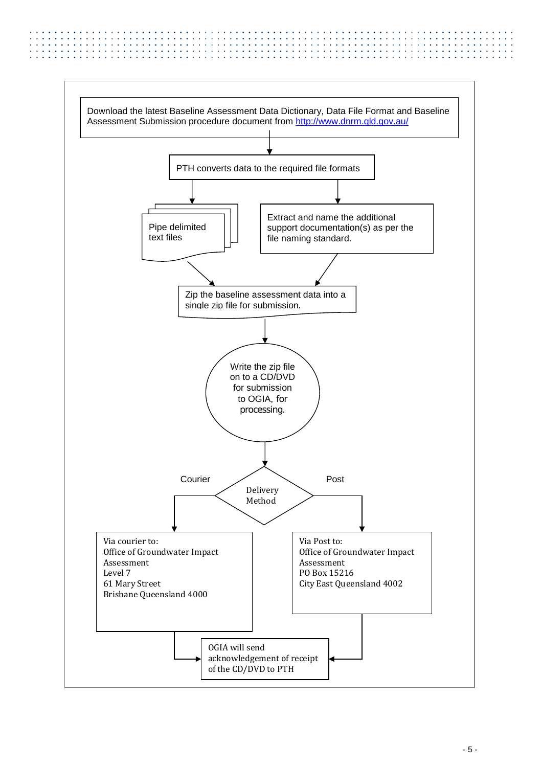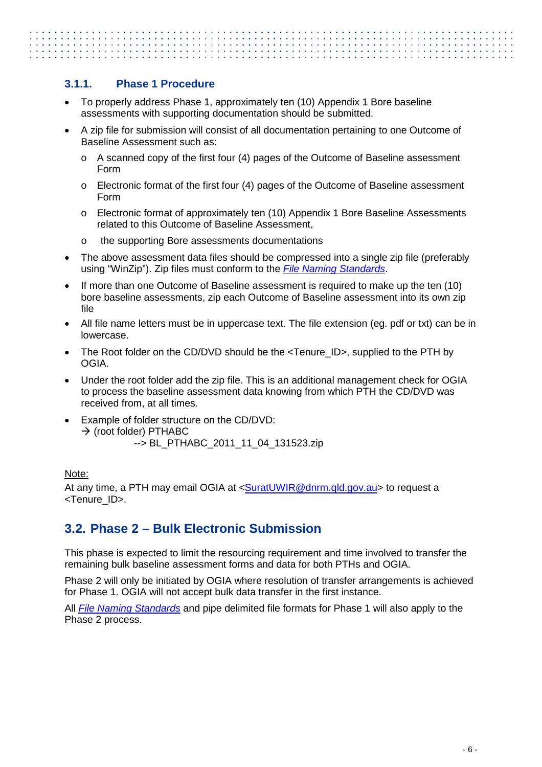#### <span id="page-8-0"></span>**3.1.1. Phase 1 Procedure**

- To properly address Phase 1, approximately ten (10) Appendix 1 Bore baseline assessments with supporting documentation should be submitted.
- A zip file for submission will consist of all documentation pertaining to one Outcome of Baseline Assessment such as:
	- $\circ$  A scanned copy of the first four (4) pages of the Outcome of Baseline assessment Form
	- o Electronic format of the first four (4) pages of the Outcome of Baseline assessment Form
	- o Electronic format of approximately ten (10) Appendix 1 Bore Baseline Assessments related to this Outcome of Baseline Assessment,
	- o the supporting Bore assessments documentations
- The above assessment data files should be compressed into a single zip file (preferably using "WinZip"). Zip files must conform to the *File Naming Standards*.
- If more than one Outcome of Baseline assessment is required to make up the ten (10) bore baseline assessments, zip each Outcome of Baseline assessment into its own zip file
- All file name letters must be in uppercase text. The file extension (eg. pdf or txt) can be in lowercase.
- The Root folder on the CD/DVD should be the <Tenure\_ID>, supplied to the PTH by OGIA.
- Under the root folder add the zip file. This is an additional management check for OGIA to process the baseline assessment data knowing from which PTH the CD/DVD was received from, at all times.
- Example of folder structure on the CD/DVD:  $\rightarrow$  (root folder) PTHABC --> BL\_PTHABC\_2011\_11\_04\_131523.zip

#### Note:

At any time, a PTH may email OGIA at <SuratUWIR@dnrm.qld.gov.au> to request a <Tenure\_ID>.

### <span id="page-8-1"></span>**3.2. Phase 2 – Bulk Electronic Submission**

This phase is expected to limit the resourcing requirement and time involved to transfer the remaining bulk baseline assessment forms and data for both PTHs and OGIA.

Phase 2 will only be initiated by OGIA where resolution of transfer arrangements is achieved for Phase 1. OGIA will not accept bulk data transfer in the first instance.

All *File Naming Standards* and pipe delimited file formats for Phase 1 will also apply to the Phase 2 process.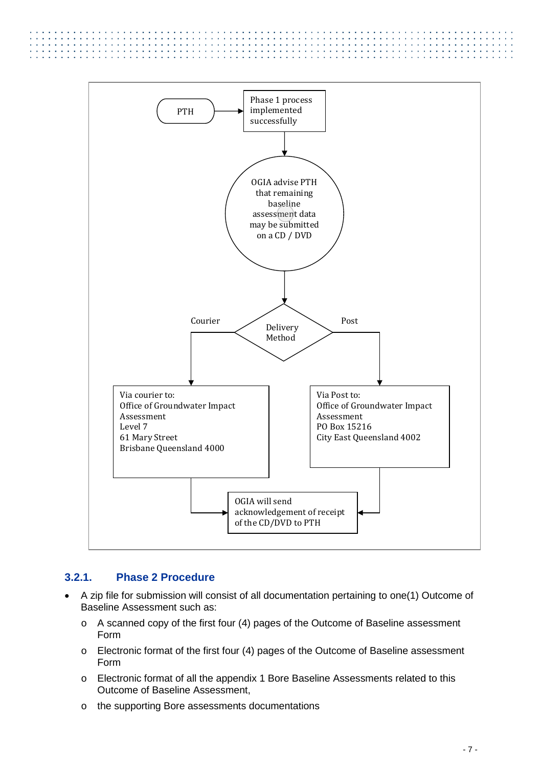

#### <span id="page-9-0"></span>**3.2.1. Phase 2 Procedure**

. . . . . . . . . . . . . . .

- A zip file for submission will consist of all documentation pertaining to one(1) Outcome of Baseline Assessment such as:
	- o A scanned copy of the first four (4) pages of the Outcome of Baseline assessment Form
	- o Electronic format of the first four (4) pages of the Outcome of Baseline assessment Form
	- o Electronic format of all the appendix 1 Bore Baseline Assessments related to this Outcome of Baseline Assessment,
	- o the supporting Bore assessments documentations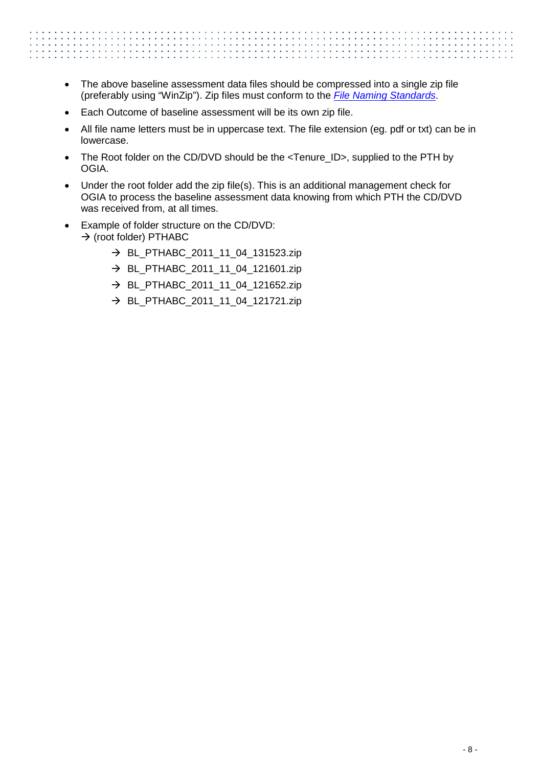- The above baseline assessment data files should be compressed into a single zip file (preferably using "WinZip"). Zip files must conform to the *File Naming Standards*.
- Each Outcome of baseline assessment will be its own zip file.
- All file name letters must be in uppercase text. The file extension (eg. pdf or txt) can be in lowercase.
- The Root folder on the CD/DVD should be the <Tenure\_ID>, supplied to the PTH by OGIA.
- Under the root folder add the zip file(s). This is an additional management check for OGIA to process the baseline assessment data knowing from which PTH the CD/DVD was received from, at all times.
- Example of folder structure on the CD/DVD:
	- $\rightarrow$  (root folder) PTHABC
		- → BL\_PTHABC\_2011\_11\_04\_131523.zip
		- $\rightarrow$  BL\_PTHABC\_2011\_11\_04\_121601.zip
		- $\rightarrow$  BL PTHABC 2011 11 04 121652.zip
		- → BL\_PTHABC\_2011\_11\_04\_121721.zip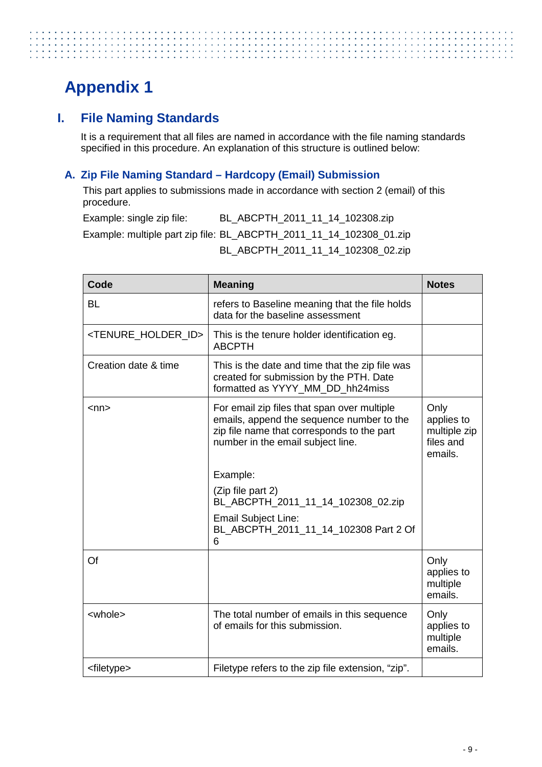# <span id="page-11-0"></span>**Appendix 1**

### <span id="page-11-1"></span>**I. File Naming Standards**

It is a requirement that all files are named in accordance with the file naming standards specified in this procedure. An explanation of this structure is outlined below:

#### <span id="page-11-2"></span>**A. Zip File Naming Standard – Hardcopy (Email) Submission**

This part applies to submissions made in accordance with section 2 (email) of this procedure.

Example: single zip file: BL\_ABCPTH\_2011\_11\_14\_102308.zip Example: multiple part zip file: BL\_ABCPTH\_2011\_11\_14\_102308\_01.zip BL\_ABCPTH\_2011\_11\_14\_102308\_02.zip

| Code                                  | <b>Meaning</b>                                                                                                                                                              | <b>Notes</b>                                               |
|---------------------------------------|-----------------------------------------------------------------------------------------------------------------------------------------------------------------------------|------------------------------------------------------------|
| <b>BL</b>                             | refers to Baseline meaning that the file holds<br>data for the baseline assessment                                                                                          |                                                            |
| <tenure_holder_id></tenure_holder_id> | This is the tenure holder identification eg.<br><b>ABCPTH</b>                                                                                                               |                                                            |
| Creation date & time                  | This is the date and time that the zip file was<br>created for submission by the PTH. Date<br>formatted as YYYY MM DD hh24miss                                              |                                                            |
| <nn></nn>                             | For email zip files that span over multiple<br>emails, append the sequence number to the<br>zip file name that corresponds to the part<br>number in the email subject line. | Only<br>applies to<br>multiple zip<br>files and<br>emails. |
|                                       | Example:                                                                                                                                                                    |                                                            |
|                                       | (Zip file part 2)<br>BL_ABCPTH_2011_11_14_102308_02.zip                                                                                                                     |                                                            |
|                                       | <b>Email Subject Line:</b><br>BL_ABCPTH_2011_11_14_102308 Part 2 Of<br>6                                                                                                    |                                                            |
| Of                                    |                                                                                                                                                                             | Only<br>applies to<br>multiple<br>emails.                  |
| <whole></whole>                       | The total number of emails in this sequence<br>of emails for this submission.                                                                                               | Only<br>applies to<br>multiple<br>emails.                  |
| <filetype></filetype>                 | Filetype refers to the zip file extension, "zip".                                                                                                                           |                                                            |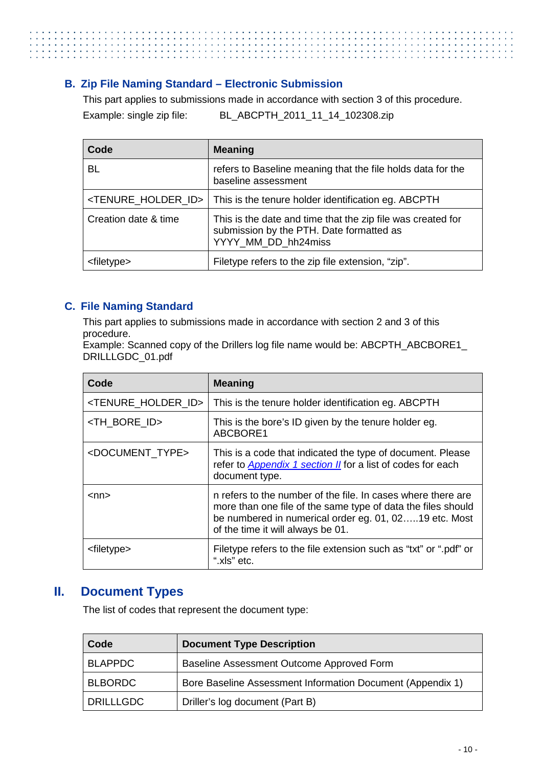#### <span id="page-12-0"></span>**B. Zip File Naming Standard – Electronic Submission**

This part applies to submissions made in accordance with section 3 of this procedure. Example: single zip file: BL\_ABCPTH\_2011\_11\_14\_102308.zip

| Code                              | <b>Meaning</b>                                                                                                                 |
|-----------------------------------|--------------------------------------------------------------------------------------------------------------------------------|
| <b>BL</b>                         | refers to Baseline meaning that the file holds data for the<br>baseline assessment                                             |
| <tenure holder="" id=""></tenure> | This is the tenure holder identification eg. ABCPTH                                                                            |
| Creation date & time              | This is the date and time that the zip file was created for<br>submission by the PTH. Date formatted as<br>YYYY MM DD hh24miss |
| <filetype></filetype>             | Filetype refers to the zip file extension, "zip".                                                                              |

#### <span id="page-12-1"></span>**C. File Naming Standard**

This part applies to submissions made in accordance with section 2 and 3 of this procedure.

Example: Scanned copy of the Drillers log file name would be: ABCPTH\_ABCBORE1\_ DRILLLGDC\_01.pdf

| Code                              | <b>Meaning</b>                                                                                                                                                                                                             |
|-----------------------------------|----------------------------------------------------------------------------------------------------------------------------------------------------------------------------------------------------------------------------|
| <tenure holder="" id=""></tenure> | This is the tenure holder identification eg. ABCPTH                                                                                                                                                                        |
| <th_bore_id></th_bore_id>         | This is the bore's ID given by the tenure holder eg.<br>ABCBORE1                                                                                                                                                           |
| <document type=""></document>     | This is a code that indicated the type of document. Please<br>refer to <b>Appendix 1 section II</b> for a list of codes for each<br>document type.                                                                         |
| <nn></nn>                         | n refers to the number of the file. In cases where there are<br>more than one file of the same type of data the files should<br>be numbered in numerical order eg. 01, 0219 etc. Most<br>of the time it will always be 01. |
| <filetype></filetype>             | Filetype refers to the file extension such as "txt" or ".pdf" or<br>".xls" etc.                                                                                                                                            |

#### <span id="page-12-2"></span>**II. Document Types**

The list of codes that represent the document type:

| Code             | <b>Document Type Description</b>                           |
|------------------|------------------------------------------------------------|
| <b>BLAPPDC</b>   | Baseline Assessment Outcome Approved Form                  |
| <b>BLBORDC</b>   | Bore Baseline Assessment Information Document (Appendix 1) |
| <b>DRILLLGDC</b> | Driller's log document (Part B)                            |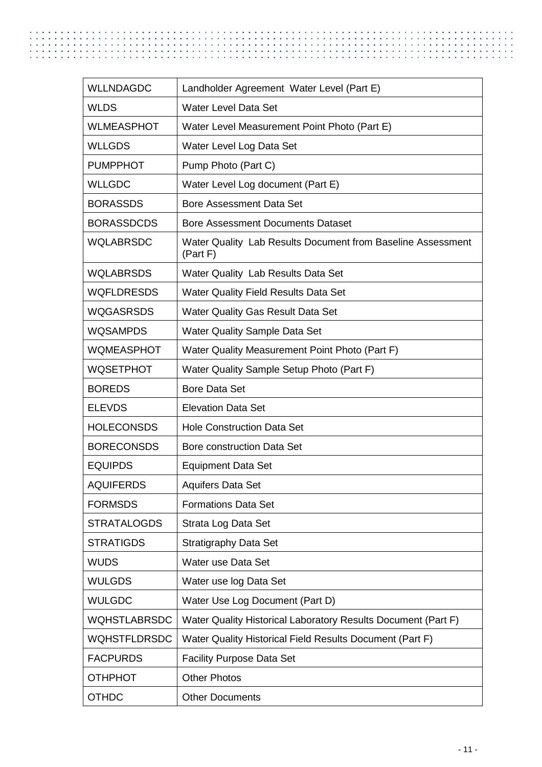| <b>WLLNDAGDC</b>    | Landholder Agreement Water Level (Part E)                               |
|---------------------|-------------------------------------------------------------------------|
| <b>WLDS</b>         | <b>Water Level Data Set</b>                                             |
| <b>WLMEASPHOT</b>   | Water Level Measurement Point Photo (Part E)                            |
| <b>WLLGDS</b>       | Water Level Log Data Set                                                |
| <b>PUMPPHOT</b>     | Pump Photo (Part C)                                                     |
| <b>WLLGDC</b>       | Water Level Log document (Part E)                                       |
| <b>BORASSDS</b>     | <b>Bore Assessment Data Set</b>                                         |
| <b>BORASSDCDS</b>   | <b>Bore Assessment Documents Dataset</b>                                |
| <b>WQLABRSDC</b>    | Water Quality Lab Results Document from Baseline Assessment<br>(Part F) |
| <b>WQLABRSDS</b>    | Water Quality Lab Results Data Set                                      |
| <b>WQFLDRESDS</b>   | <b>Water Quality Field Results Data Set</b>                             |
| <b>WQGASRSDS</b>    | <b>Water Quality Gas Result Data Set</b>                                |
| <b>WQSAMPDS</b>     | <b>Water Quality Sample Data Set</b>                                    |
| <b>WQMEASPHOT</b>   | Water Quality Measurement Point Photo (Part F)                          |
| <b>WQSETPHOT</b>    | Water Quality Sample Setup Photo (Part F)                               |
| <b>BOREDS</b>       | <b>Bore Data Set</b>                                                    |
| <b>ELEVDS</b>       | <b>Elevation Data Set</b>                                               |
| <b>HOLECONSDS</b>   | <b>Hole Construction Data Set</b>                                       |
| <b>BORECONSDS</b>   | Bore construction Data Set                                              |
| <b>EQUIPDS</b>      | <b>Equipment Data Set</b>                                               |
| <b>AQUIFERDS</b>    | <b>Aquifers Data Set</b>                                                |
| <b>FORMSDS</b>      | <b>Formations Data Set</b>                                              |
| <b>STRATALOGDS</b>  | Strata Log Data Set                                                     |
| <b>STRATIGDS</b>    | <b>Stratigraphy Data Set</b>                                            |
| <b>WUDS</b>         | Water use Data Set                                                      |
| <b>WULGDS</b>       | Water use log Data Set                                                  |
| <b>WULGDC</b>       | Water Use Log Document (Part D)                                         |
| <b>WQHSTLABRSDC</b> | Water Quality Historical Laboratory Results Document (Part F)           |
| <b>WQHSTFLDRSDC</b> | Water Quality Historical Field Results Document (Part F)                |
| <b>FACPURDS</b>     | <b>Facility Purpose Data Set</b>                                        |
| <b>OTHPHOT</b>      | <b>Other Photos</b>                                                     |
| <b>OTHDC</b>        | <b>Other Documents</b>                                                  |